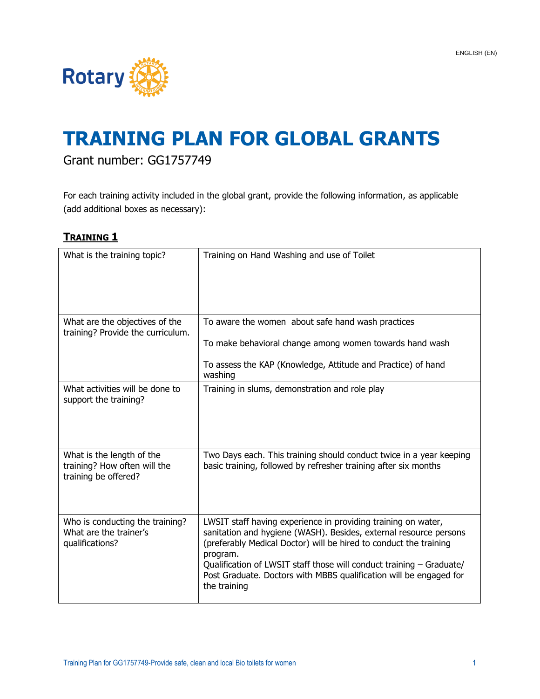

# **TRAINING PLAN FOR GLOBAL GRANTS**

## Grant number: GG1757749

For each training activity included in the global grant, provide the following information, as applicable (add additional boxes as necessary):

#### **TRAINING 1**

| What is the training topic?                                                       | Training on Hand Washing and use of Toilet                                                                                                                                                                                                                                                                                                                                        |
|-----------------------------------------------------------------------------------|-----------------------------------------------------------------------------------------------------------------------------------------------------------------------------------------------------------------------------------------------------------------------------------------------------------------------------------------------------------------------------------|
| What are the objectives of the<br>training? Provide the curriculum.               | To aware the women about safe hand wash practices<br>To make behavioral change among women towards hand wash<br>To assess the KAP (Knowledge, Attitude and Practice) of hand<br>washing                                                                                                                                                                                           |
| What activities will be done to<br>support the training?                          | Training in slums, demonstration and role play                                                                                                                                                                                                                                                                                                                                    |
| What is the length of the<br>training? How often will the<br>training be offered? | Two Days each. This training should conduct twice in a year keeping<br>basic training, followed by refresher training after six months                                                                                                                                                                                                                                            |
| Who is conducting the training?<br>What are the trainer's<br>qualifications?      | LWSIT staff having experience in providing training on water,<br>sanitation and hygiene (WASH). Besides, external resource persons<br>(preferably Medical Doctor) will be hired to conduct the training<br>program.<br>Qualification of LWSIT staff those will conduct training - Graduate/<br>Post Graduate. Doctors with MBBS qualification will be engaged for<br>the training |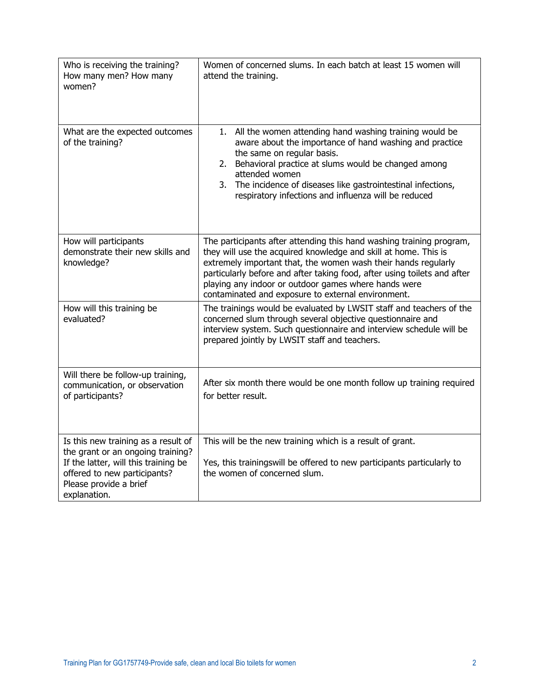| Who is receiving the training?<br>How many men? How many<br>women?                                                                                                                         | Women of concerned slums. In each batch at least 15 women will<br>attend the training.                                                                                                                                                                                                                                                                                                              |
|--------------------------------------------------------------------------------------------------------------------------------------------------------------------------------------------|-----------------------------------------------------------------------------------------------------------------------------------------------------------------------------------------------------------------------------------------------------------------------------------------------------------------------------------------------------------------------------------------------------|
| What are the expected outcomes<br>of the training?                                                                                                                                         | 1. All the women attending hand washing training would be<br>aware about the importance of hand washing and practice<br>the same on regular basis.<br>2. Behavioral practice at slums would be changed among<br>attended women<br>3. The incidence of diseases like gastrointestinal infections,<br>respiratory infections and influenza will be reduced                                            |
| How will participants<br>demonstrate their new skills and<br>knowledge?                                                                                                                    | The participants after attending this hand washing training program,<br>they will use the acquired knowledge and skill at home. This is<br>extremely important that, the women wash their hands regularly<br>particularly before and after taking food, after using toilets and after<br>playing any indoor or outdoor games where hands were<br>contaminated and exposure to external environment. |
| How will this training be<br>evaluated?                                                                                                                                                    | The trainings would be evaluated by LWSIT staff and teachers of the<br>concerned slum through several objective questionnaire and<br>interview system. Such questionnaire and interview schedule will be<br>prepared jointly by LWSIT staff and teachers.                                                                                                                                           |
| Will there be follow-up training,<br>communication, or observation<br>of participants?                                                                                                     | After six month there would be one month follow up training required<br>for better result.                                                                                                                                                                                                                                                                                                          |
| Is this new training as a result of<br>the grant or an ongoing training?<br>If the latter, will this training be<br>offered to new participants?<br>Please provide a brief<br>explanation. | This will be the new training which is a result of grant.<br>Yes, this trainingswill be offered to new participants particularly to<br>the women of concerned slum.                                                                                                                                                                                                                                 |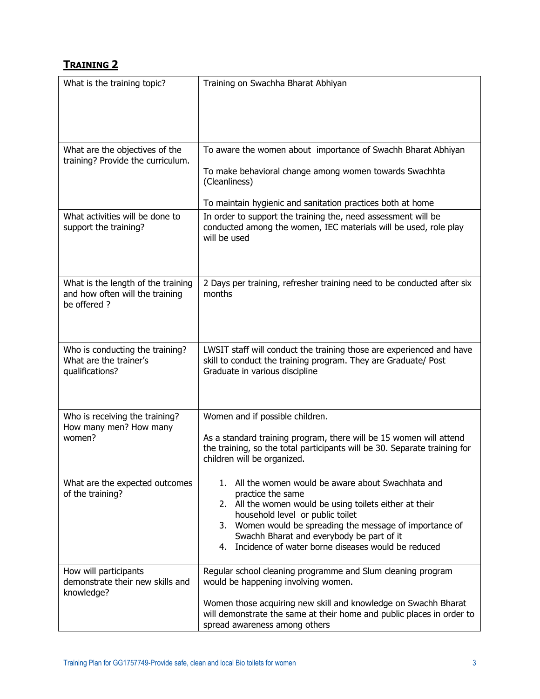### **TRAINING 2**

| What is the training topic?                                                          | Training on Swachha Bharat Abhiyan                                                                                                                                                                                                                                                                                                           |
|--------------------------------------------------------------------------------------|----------------------------------------------------------------------------------------------------------------------------------------------------------------------------------------------------------------------------------------------------------------------------------------------------------------------------------------------|
| What are the objectives of the<br>training? Provide the curriculum.                  | To aware the women about importance of Swachh Bharat Abhiyan<br>To make behavioral change among women towards Swachhta<br>(Cleanliness)<br>To maintain hygienic and sanitation practices both at home                                                                                                                                        |
| What activities will be done to<br>support the training?                             | In order to support the training the, need assessment will be<br>conducted among the women, IEC materials will be used, role play<br>will be used                                                                                                                                                                                            |
| What is the length of the training<br>and how often will the training<br>be offered? | 2 Days per training, refresher training need to be conducted after six<br>months                                                                                                                                                                                                                                                             |
| Who is conducting the training?<br>What are the trainer's<br>qualifications?         | LWSIT staff will conduct the training those are experienced and have<br>skill to conduct the training program. They are Graduate/ Post<br>Graduate in various discipline                                                                                                                                                                     |
| Who is receiving the training?<br>How many men? How many<br>women?                   | Women and if possible children.<br>As a standard training program, there will be 15 women will attend<br>the training, so the total participants will be 30. Separate training for<br>children will be organized.                                                                                                                            |
| What are the expected outcomes<br>of the training?                                   | 1. All the women would be aware about Swachhata and<br>practice the same<br>2. All the women would be using toilets either at their<br>household level or public toilet<br>3. Women would be spreading the message of importance of<br>Swachh Bharat and everybody be part of it<br>Incidence of water borne diseases would be reduced<br>4. |
| How will participants<br>demonstrate their new skills and<br>knowledge?              | Regular school cleaning programme and Slum cleaning program<br>would be happening involving women.<br>Women those acquiring new skill and knowledge on Swachh Bharat<br>will demonstrate the same at their home and public places in order to<br>spread awareness among others                                                               |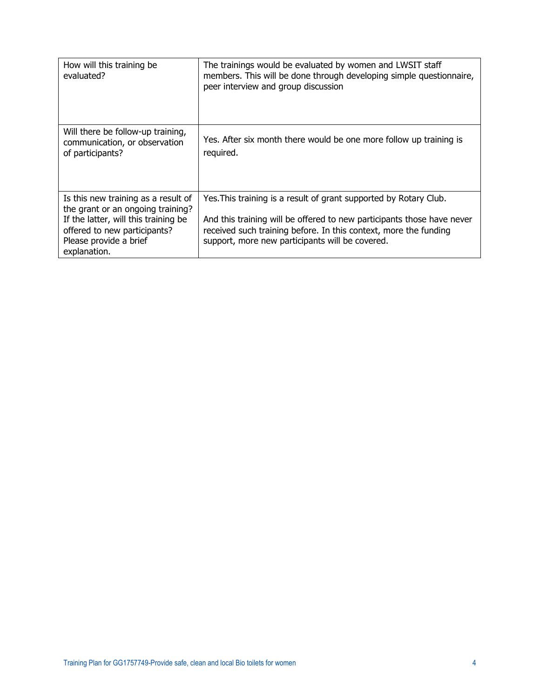| How will this training be<br>evaluated?                                                                                                                                                    | The trainings would be evaluated by women and LWSIT staff<br>members. This will be done through developing simple questionnaire,<br>peer interview and group discussion                                                                                            |
|--------------------------------------------------------------------------------------------------------------------------------------------------------------------------------------------|--------------------------------------------------------------------------------------------------------------------------------------------------------------------------------------------------------------------------------------------------------------------|
| Will there be follow-up training,<br>communication, or observation<br>of participants?                                                                                                     | Yes. After six month there would be one more follow up training is<br>required.                                                                                                                                                                                    |
| Is this new training as a result of<br>the grant or an ongoing training?<br>If the latter, will this training be<br>offered to new participants?<br>Please provide a brief<br>explanation. | Yes. This training is a result of grant supported by Rotary Club.<br>And this training will be offered to new participants those have never<br>received such training before. In this context, more the funding<br>support, more new participants will be covered. |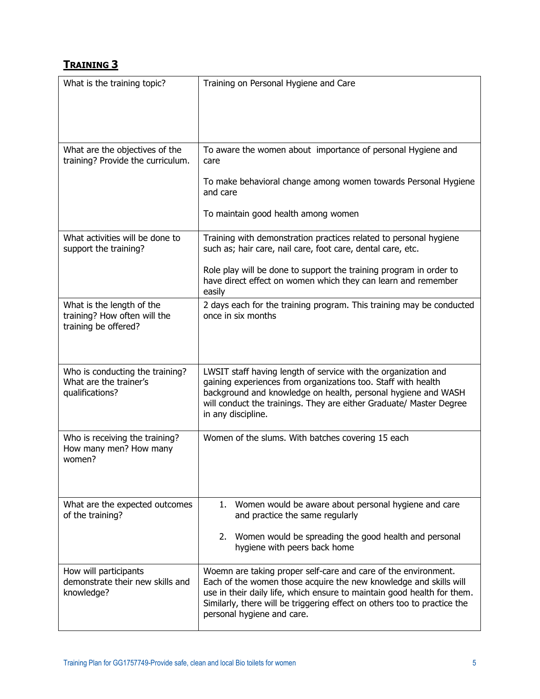#### **TRAINING 3**

| What is the training topic?                                                  | Training on Personal Hygiene and Care                                                                                                                                                                                                                                                                                    |
|------------------------------------------------------------------------------|--------------------------------------------------------------------------------------------------------------------------------------------------------------------------------------------------------------------------------------------------------------------------------------------------------------------------|
| What are the objectives of the<br>training? Provide the curriculum.          | To aware the women about importance of personal Hygiene and<br>care<br>To make behavioral change among women towards Personal Hygiene<br>and care<br>To maintain good health among women                                                                                                                                 |
| What activities will be done to<br>support the training?                     | Training with demonstration practices related to personal hygiene<br>such as; hair care, nail care, foot care, dental care, etc.<br>Role play will be done to support the training program in order to                                                                                                                   |
| What is the length of the                                                    | have direct effect on women which they can learn and remember<br>easily<br>2 days each for the training program. This training may be conducted                                                                                                                                                                          |
| training? How often will the<br>training be offered?                         | once in six months                                                                                                                                                                                                                                                                                                       |
| Who is conducting the training?<br>What are the trainer's<br>qualifications? | LWSIT staff having length of service with the organization and<br>gaining experiences from organizations too. Staff with health<br>background and knowledge on health, personal hygiene and WASH<br>will conduct the trainings. They are either Graduate/ Master Degree<br>in any discipline.                            |
| Who is receiving the training?<br>How many men? How many<br>women?           | Women of the slums. With batches covering 15 each                                                                                                                                                                                                                                                                        |
| What are the expected outcomes<br>of the training?                           | 1. Women would be aware about personal hygiene and care<br>and practice the same regularly<br>2. Women would be spreading the good health and personal<br>hygiene with peers back home                                                                                                                                   |
| How will participants<br>demonstrate their new skills and<br>knowledge?      | Woemn are taking proper self-care and care of the environment.<br>Each of the women those acquire the new knowledge and skills will<br>use in their daily life, which ensure to maintain good health for them.<br>Similarly, there will be triggering effect on others too to practice the<br>personal hygiene and care. |